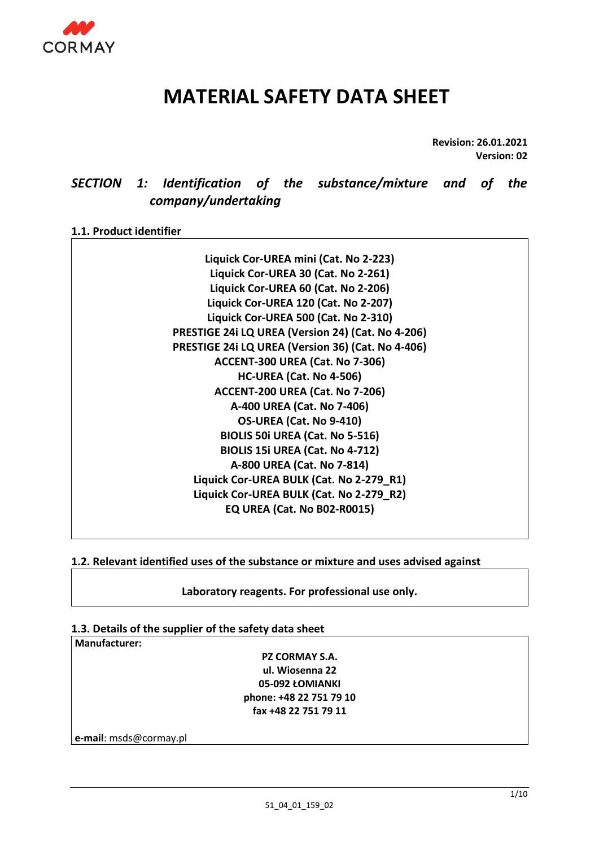

# **MATERIAL SAFETY DATA SHEET**

**Revision: 26.01.2021 Version: 02**

# *SECTION 1: Identification of the substance/mixture and of the company/undertaking*

# **1.1. Product identifier**

**Liquick Cor-UREA mini (Cat. No 2-223) Liquick Cor-UREA 30 (Cat. No 2-261) Liquick Cor-UREA 60 (Cat. No 2-206) Liquick Cor-UREA 120 (Cat. No 2-207) Liquick Cor-UREA 500 (Cat. No 2-310) PRESTIGE 24i LQ UREA (Version 24) (Cat. No 4-206) PRESTIGE 24i LQ UREA (Version 36) (Cat. No 4-406) ACCENT-300 UREA (Cat. No 7-306) HC-UREA (Cat. No 4-506) ACCENT-200 UREA (Cat. No 7-206) A-400 UREA (Cat. No 7-406) OS-UREA (Cat. No 9-410) BIOLIS 50i UREA (Cat. No 5-516) BIOLIS 15i UREA (Cat. No 4-712) A-800 UREA (Cat. No 7-814) Liquick Cor-UREA BULK (Cat. No 2-279\_R1) Liquick Cor-UREA BULK (Cat. No 2-279\_R2) EQ UREA (Cat. No B02-R0015)**

# **1.2. Relevant identified uses of the substance or mixture and uses advised against**

**Laboratory reagents. For professional use only.**

# **1.3. Details of the supplier of the safety data sheet**

**Manufacturer:** 

**PZ CORMAY S.A. ul. Wiosenna 22 05-092 ŁOMIANKI phone: +48 22 751 79 10 fax +48 22 751 79 11**

**e-mail**: msds@cormay.pl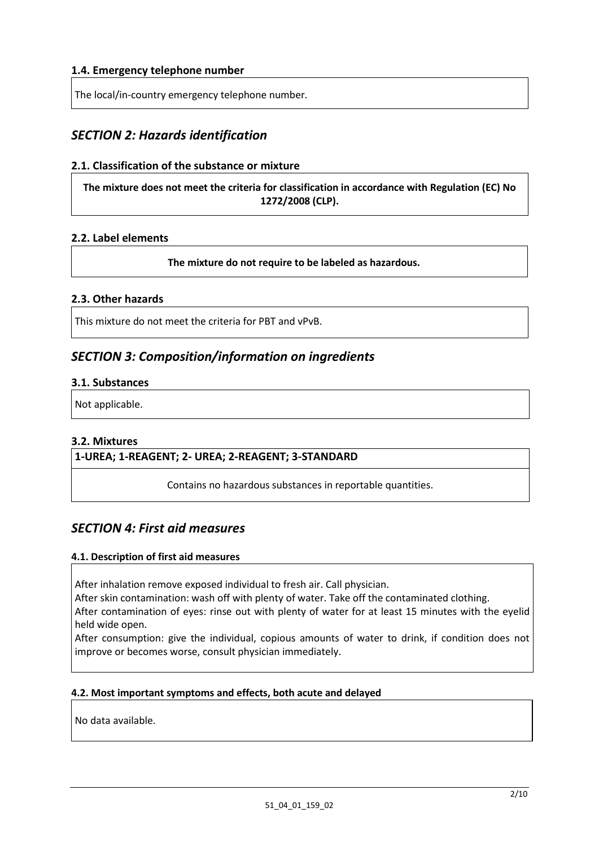### **1.4. Emergency telephone number**

The local/in-country emergency telephone number.

# *SECTION 2: Hazards identification*

#### **2.1. Classification of the substance or mixture**

**The mixture does not meet the criteria for classification in accordance with Regulation (EC) No 1272/2008 (CLP).**

#### **2.2. Label elements**

**The mixture do not require to be labeled as hazardous.**

#### **2.3. Other hazards**

This mixture do not meet the criteria for PBT and vPvB.

# *SECTION 3: Composition/information on ingredients*

#### **3.1. Substances**

Not applicable.

#### **3.2. Mixtures**

#### **1-UREA; 1-REAGENT; 2- UREA; 2-REAGENT; 3-STANDARD**

Contains no hazardous substances in reportable quantities.

# *SECTION 4: First aid measures*

#### **4.1. Description of first aid measures**

After inhalation remove exposed individual to fresh air. Call physician.

After skin contamination: wash off with plenty of water. Take off the contaminated clothing.

After contamination of eyes: rinse out with plenty of water for at least 15 minutes with the eyelid held wide open.

After consumption: give the individual, copious amounts of water to drink, if condition does not improve or becomes worse, consult physician immediately.

#### **4.2. Most important symptoms and effects, both acute and delayed**

No data available.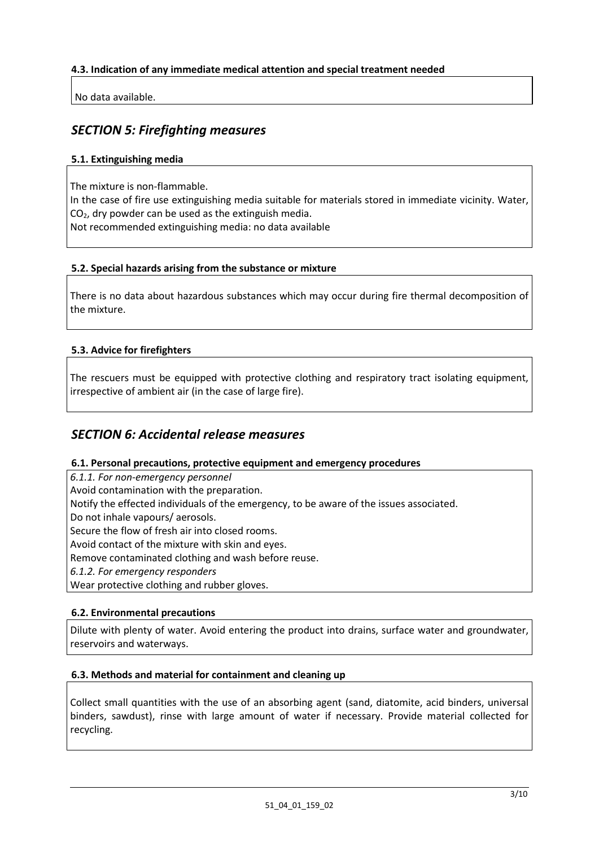### **4.3. Indication of any immediate medical attention and special treatment needed**

No data available.

# *SECTION 5: Firefighting measures*

### **5.1. Extinguishing media**

The mixture is non-flammable.

In the case of fire use extinguishing media suitable for materials stored in immediate vicinity. Water,  $CO<sub>2</sub>$ , dry powder can be used as the extinguish media.

Not recommended extinguishing media: no data available

#### **5.2. Special hazards arising from the substance or mixture**

There is no data about hazardous substances which may occur during fire thermal decomposition of the mixture.

### **5.3. Advice for firefighters**

The rescuers must be equipped with protective clothing and respiratory tract isolating equipment, irrespective of ambient air (in the case of large fire).

# *SECTION 6: Accidental release measures*

#### **6.1. Personal precautions, protective equipment and emergency procedures**

*6.1.1. For non-emergency personnel*

Avoid contamination with the preparation.

Notify the effected individuals of the emergency, to be aware of the issues associated.

Do not inhale vapours/ aerosols.

Secure the flow of fresh air into closed rooms.

Avoid contact of the mixture with skin and eyes.

Remove contaminated clothing and wash before reuse.

*6.1.2. For emergency responders* 

Wear protective clothing and rubber gloves.

#### **6.2. Environmental precautions**

Dilute with plenty of water. Avoid entering the product into drains, surface water and groundwater, reservoirs and waterways.

#### **6.3. Methods and material for containment and cleaning up**

Collect small quantities with the use of an absorbing agent (sand, diatomite, acid binders, universal binders, sawdust), rinse with large amount of water if necessary. Provide material collected for recycling.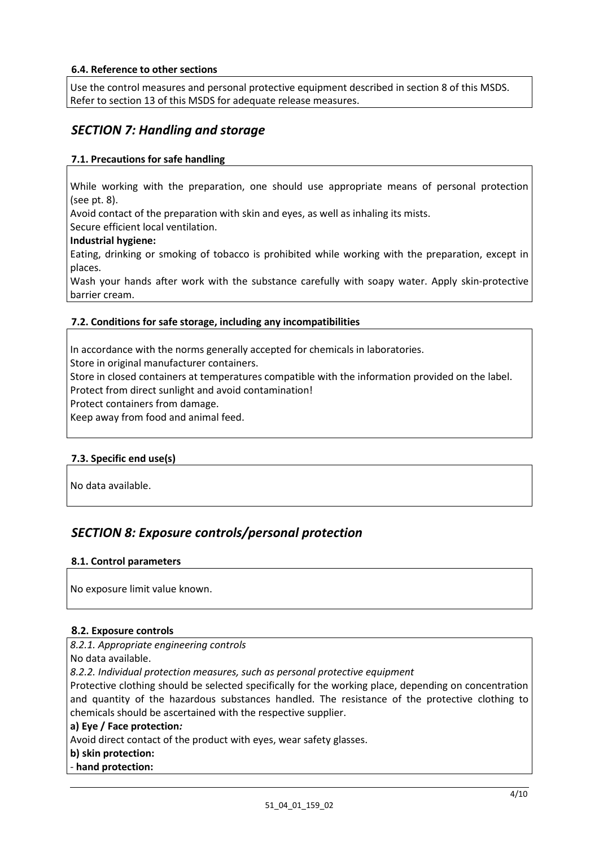#### **6.4. Reference to other sections**

Use the control measures and personal protective equipment described in section 8 of this MSDS. Refer to section 13 of this MSDS for adequate release measures.

# *SECTION 7: Handling and storage*

#### **7.1. Precautions for safe handling**

While working with the preparation, one should use appropriate means of personal protection (see pt. 8).

Avoid contact of the preparation with skin and eyes, as well as inhaling its mists.

Secure efficient local ventilation.

#### **Industrial hygiene:**

Eating, drinking or smoking of tobacco is prohibited while working with the preparation, except in places.

Wash your hands after work with the substance carefully with soapy water. Apply skin-protective barrier cream.

#### **7.2. Conditions for safe storage, including any incompatibilities**

In accordance with the norms generally accepted for chemicals in laboratories.

Store in original manufacturer containers.

Store in closed containers at temperatures compatible with the information provided on the label. Protect from direct sunlight and avoid contamination!

Protect containers from damage.

Keep away from food and animal feed.

#### **7.3. Specific end use(s)**

No data available.

# *SECTION 8: Exposure controls/personal protection*

#### **8.1. Control parameters**

No exposure limit value known.

#### **8.2. Exposure controls**

*8.2.1. Appropriate engineering controls* 

No data available.

*8.2.2. Individual protection measures, such as personal protective equipment* 

Protective clothing should be selected specifically for the working place, depending on concentration and quantity of the hazardous substances handled. The resistance of the protective clothing to chemicals should be ascertained with the respective supplier.

#### **a) Eye / Face protection***:*

Avoid direct contact of the product with eyes, wear safety glasses.

### **b) skin protection:**

*-* **hand protection:**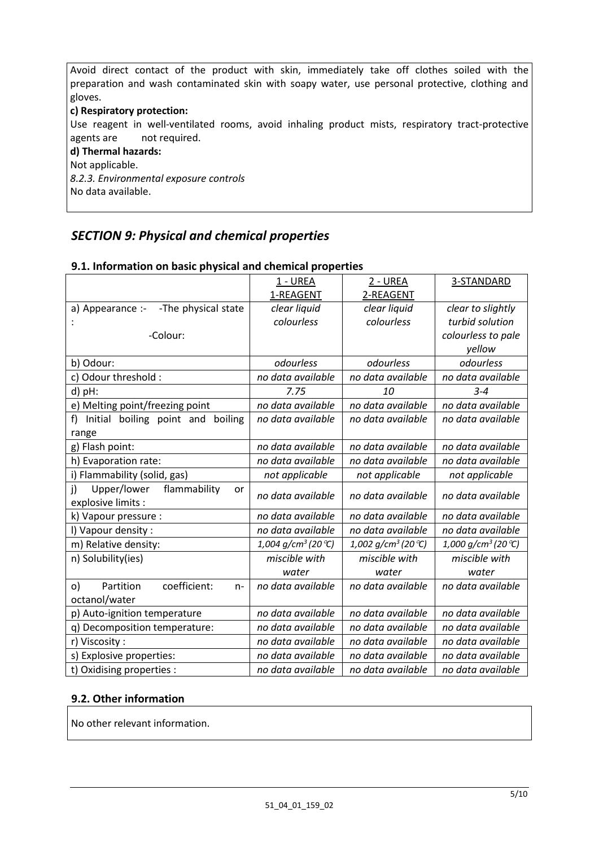Avoid direct contact of the product with skin, immediately take off clothes soiled with the preparation and wash contaminated skin with soapy water, use personal protective, clothing and gloves.

# **c) Respiratory protection:**

Use reagent in well-ventilated rooms, avoid inhaling product mists, respiratory tract-protective agents are not required.

#### **d) Thermal hazards:**

Not applicable.

*8.2.3. Environmental exposure controls* No data available.

# *SECTION 9: Physical and chemical properties*

|                                                   | 1 - UREA                       | <u>2 - UREA</u>                   | 3-STANDARD                        |
|---------------------------------------------------|--------------------------------|-----------------------------------|-----------------------------------|
|                                                   | 1-REAGENT                      | 2-REAGENT                         |                                   |
| -The physical state<br>a) Appearance :-           | clear liquid                   | clear liquid                      | clear to slightly                 |
|                                                   | colourless                     | colourless                        | turbid solution                   |
| -Colour:                                          |                                |                                   | colourless to pale                |
|                                                   |                                |                                   | yellow                            |
| b) Odour:                                         | odourless                      | odourless                         | odourless                         |
| c) Odour threshold :                              | no data available              | no data available                 | no data available                 |
| d) pH:                                            | 7.75                           | 10                                | $3 - 4$                           |
| e) Melting point/freezing point                   | no data available              | no data available                 | no data available                 |
| f)<br>Initial boiling point and<br>boiling        | no data available              | no data available                 | no data available                 |
| range                                             |                                |                                   |                                   |
| g) Flash point:                                   | no data available              | no data available                 | no data available                 |
| h) Evaporation rate:                              | no data available              | no data available                 | no data available                 |
| i) Flammability (solid, gas)                      | not applicable                 | not applicable                    | not applicable                    |
| $\mathbf{j}$<br>Upper/lower<br>flammability<br>or | no data available              | no data available                 | no data available                 |
| explosive limits :                                |                                |                                   |                                   |
| k) Vapour pressure :                              | no data available              | no data available                 | no data available                 |
| I) Vapour density :                               | no data available              | no data available                 | no data available                 |
| m) Relative density:                              | 1,004 g/cm <sup>3</sup> (20 ℃) | $1,002$ g/cm <sup>3</sup> (20 °C) | $1,000$ g/cm <sup>3</sup> (20 °C) |
| n) Solubility(ies)                                | miscible with                  | miscible with                     | miscible with                     |
|                                                   | water                          | water                             | water                             |
| coefficient:<br>Partition<br>o)<br>$n -$          | no data available              | no data available                 | no data available                 |
| octanol/water                                     |                                |                                   |                                   |
| p) Auto-ignition temperature                      | no data available              | no data available                 | no data available                 |
| q) Decomposition temperature:                     | no data available              | no data available                 | no data available                 |
| r) Viscosity:                                     | no data available              | no data available                 | no data available                 |
| s) Explosive properties:                          | no data available              | no data available                 | no data available                 |
| t) Oxidising properties :                         | no data available              | no data available                 | no data available                 |

# **9.1. Information on basic physical and chemical properties**

# **9.2. Other information**

No other relevant information.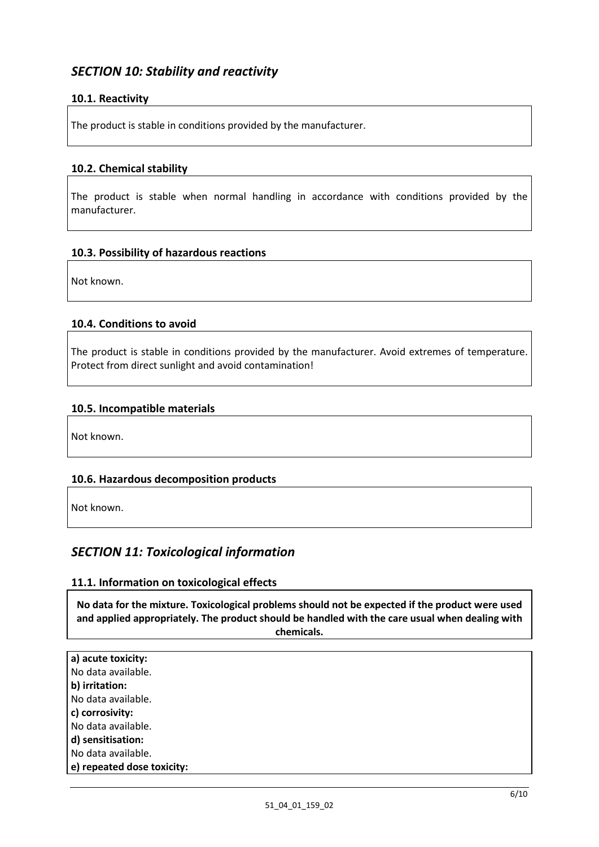# *SECTION 10: Stability and reactivity*

# **10.1. Reactivity**

The product is stable in conditions provided by the manufacturer.

### **10.2. Chemical stability**

The product is stable when normal handling in accordance with conditions provided by the manufacturer.

### **10.3. Possibility of hazardous reactions**

Not known.

### **10.4. Conditions to avoid**

The product is stable in conditions provided by the manufacturer. Avoid extremes of temperature. Protect from direct sunlight and avoid contamination!

### **10.5. Incompatible materials**

Not known.

# **10.6. Hazardous decomposition products**

Not known.

# *SECTION 11: Toxicological information*

#### **11.1. Information on toxicological effects**

**No data for the mixture. Toxicological problems should not be expected if the product were used and applied appropriately. The product should be handled with the care usual when dealing with chemicals.** 

| a) acute toxicity:         |
|----------------------------|
| No data available.         |
| b) irritation:             |
| No data available.         |
| c) corrosivity:            |
| No data available.         |
| d) sensitisation:          |
| No data available.         |
| e) repeated dose toxicity: |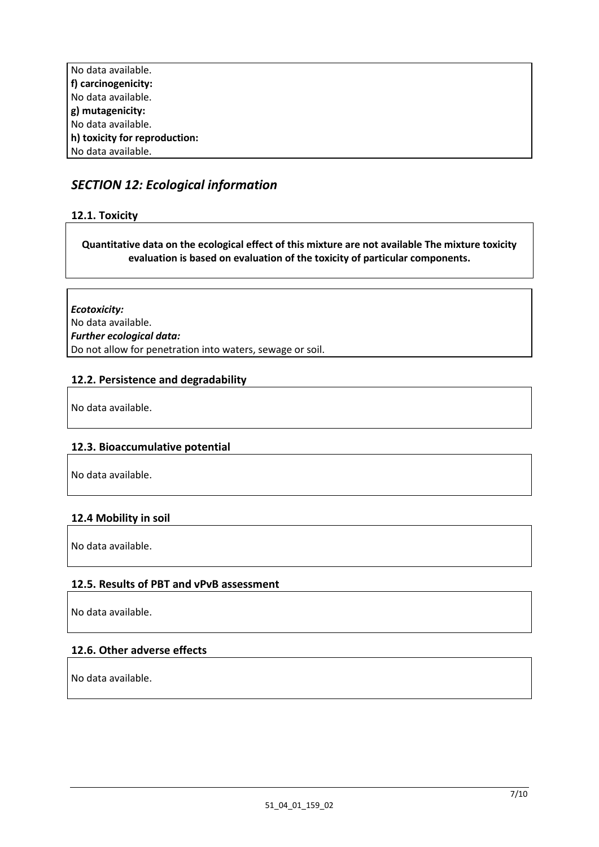| No data available.            |
|-------------------------------|
| f) carcinogenicity:           |
| No data available.            |
| g) mutagenicity:              |
| No data available.            |
| h) toxicity for reproduction: |
| No data available.            |

# *SECTION 12: Ecological information*

# **12.1. Toxicity**

### **Quantitative data on the ecological effect of this mixture are not available The mixture toxicity evaluation is based on evaluation of the toxicity of particular components.**

*Ecotoxicity:* No data available. *Further ecological data:* Do not allow for penetration into waters, sewage or soil.

### **12.2. Persistence and degradability**

No data available.

# **12.3. Bioaccumulative potential**

No data available.

#### **12.4 Mobility in soil**

No data available.

# **12.5. Results of PBT and vPvB assessment**

No data available.

#### **12.6. Other adverse effects**

No data available.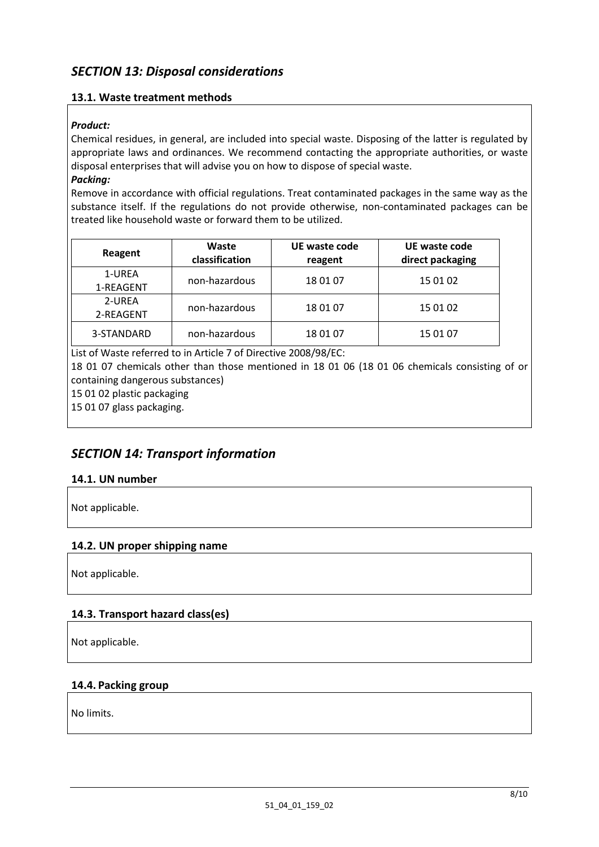# **13.1. Waste treatment methods**

### *Product:*

Chemical residues, in general, are included into special waste. Disposing of the latter is regulated by appropriate laws and ordinances. We recommend contacting the appropriate authorities, or waste disposal enterprises that will advise you on how to dispose of special waste.

# *Packing:*

Remove in accordance with official regulations. Treat contaminated packages in the same way as the substance itself. If the regulations do not provide otherwise, non-contaminated packages can be treated like household waste or forward them to be utilized.

| Reagent             | Waste<br>classification | UE waste code<br>reagent | UE waste code<br>direct packaging |
|---------------------|-------------------------|--------------------------|-----------------------------------|
| 1-UREA<br>1-REAGENT | non-hazardous           | 18 01 07                 | 15 01 02                          |
| 2-UREA<br>2-REAGENT | non-hazardous           | 18 01 07                 | 15 01 02                          |
| 3-STANDARD          | non-hazardous           | 18 01 07                 | 15 01 07                          |

List of Waste referred to in Article 7 of Directive 2008/98/EC:

18 01 07 chemicals other than those mentioned in 18 01 06 (18 01 06 chemicals consisting of or containing dangerous substances)

15 01 02 plastic packaging

15 01 07 glass packaging.

# *SECTION 14: Transport information*

# **14.1. UN number**

Not applicable.

# **14.2. UN proper shipping name**

Not applicable.

# **14.3. Transport hazard class(es)**

Not applicable.

#### **14.4. Packing group**

No limits.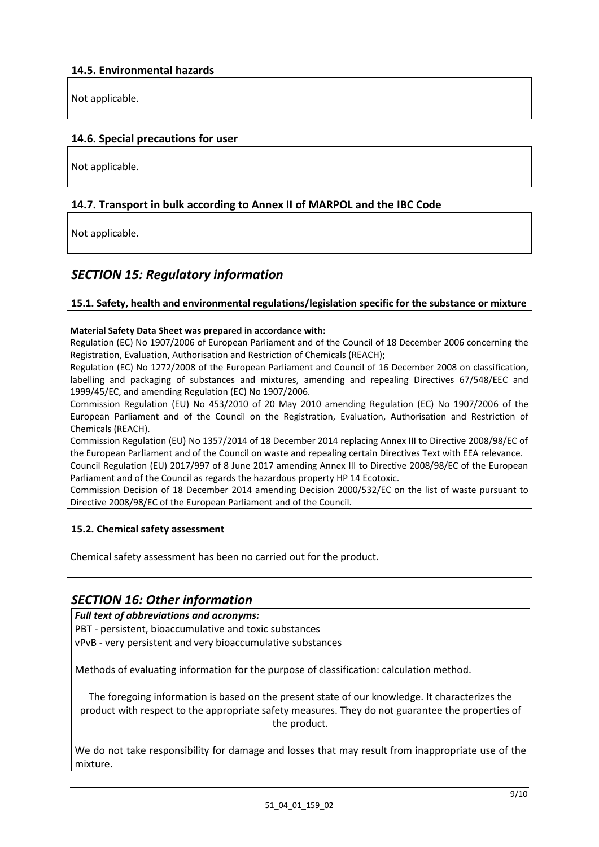Not applicable.

### **14.6. Special precautions for user**

Not applicable.

### **14.7. Transport in bulk according to Annex II of MARPOL and the IBC Code**

Not applicable.

# *SECTION 15: Regulatory information*

#### **15.1. Safety, health and environmental regulations/legislation specific for the substance or mixture**

#### **Material Safety Data Sheet was prepared in accordance with:**

Regulation (EC) No 1907/2006 of European Parliament and of the Council of 18 December 2006 concerning the Registration, Evaluation, Authorisation and Restriction of Chemicals (REACH);

Regulation (EC) No 1272/2008 of the European Parliament and Council of 16 December 2008 on classification, labelling and packaging of substances and mixtures, amending and repealing Directives 67/548/EEC and 1999/45/EC, and amending Regulation (EC) No 1907/2006.

Commission Regulation (EU) No 453/2010 of 20 May 2010 amending Regulation (EC) No 1907/2006 of the European Parliament and of the Council on the Registration, Evaluation, Authorisation and Restriction of Chemicals (REACH).

Commission Regulation (EU) No 1357/2014 of 18 December 2014 replacing Annex III to Directive 2008/98/EC of the European Parliament and of the Council on waste and repealing certain Directives Text with EEA relevance.

Council Regulation (EU) 2017/997 of 8 June 2017 amending Annex III to Directive 2008/98/EC of the European Parliament and of the Council as regards the hazardous property HP 14 Ecotoxic.

Commission Decision of 18 December 2014 amending Decision 2000/532/EC on the list of waste pursuant to Directive 2008/98/EC of the European Parliament and of the Council.

#### **15.2. Chemical safety assessment**

Chemical safety assessment has been no carried out for the product.

# *SECTION 16: Other information*

*Full text of abbreviations and acronyms:*

PBT - persistent, bioaccumulative and toxic substances

vPvB - very persistent and very bioaccumulative substances

Methods of evaluating information for the purpose of classification: calculation method.

The foregoing information is based on the present state of our knowledge. It characterizes the product with respect to the appropriate safety measures. They do not guarantee the properties of the product.

We do not take responsibility for damage and losses that may result from inappropriate use of the mixture.